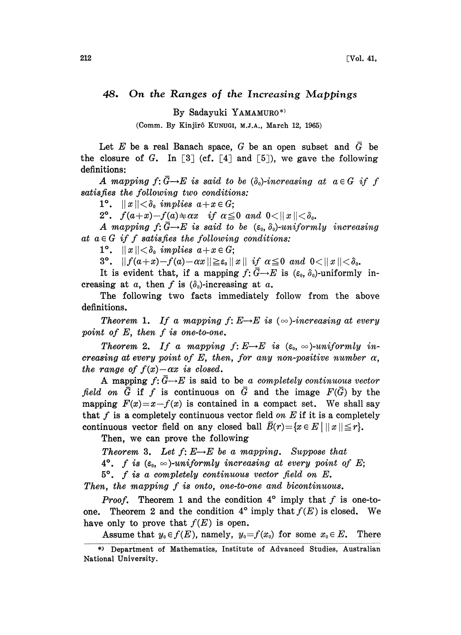## 48. On the Ranges of the Increasing Mappings

By Sadayuki YAMAMURO\*)

(Comm. By Kinjirô KUNUGI, M.J.A., March 12, 1965)

Let E be a real Banach space, G be an open subset and  $\overline{G}$  be the closure of G. In [3] (cf. [4] and [5]), we gave the following definitions:

A mapping  $f: \overline{G} \rightarrow E$  is said to be  $(\delta_0)$ -increasing at  $a \in G$  if f satisfies the following two conditions:

1°.  $||x|| < \delta_0$  implies  $a+x \in G$ ;

2°.  $f(a+x)-f(a)\neq\alpha x$  if  $\alpha\leq 0$  and  $0<||x||<\delta_0$ .

A mapping  $f: \overline{G} \rightarrow E$  is said to be  $(\varepsilon_0, \delta_0)$ -uniformly increasing at  $a \in G$  if f satisfies the following conditions:

1°.  $||x|| < \delta_0$  implies  $a+x \in G$ ;

3°.  $|| f(a+x)-f(a)-\alpha x || \geq \varepsilon_0 ||x||$  if  $\alpha \leq 0$  and  $0 < ||x|| < \delta_0$ .

It is evident that, if a mapping  $f: \bar{G} \rightarrow E$  is  $(\varepsilon_0, \delta_0)$ -uniformly increasing at a, then f is  $(\delta_0)$ -increasing at a.

The following two facts immediately follow from the above definitions.

**Theorem 1.** If a mapping  $f: E \rightarrow E$  is  $(\infty)$ -increasing at every point of  $E$ , then  $f$  is one-to-one.

Theorem 2. If a mapping  $f: E \rightarrow E$  is  $(\varepsilon_0, \infty)$ -uniformly increasing at every point of E, then, for any non-positive number  $\alpha$ , the range of  $f(x)-\alpha x$  is closed.

A mapping  $f: \overline{G} \rightarrow E$  is said to be a completely continuous vector field on  $\overline{G}$  if f is continuous on  $\overline{G}$  and the image  $F(\overline{G})$  by the mapping  $F(x)=x-f(x)$  is contained in a compact set. We shall say that f is a completely continuous vector field on  $E$  if it is a completely continuous vector field on any closed ball  $\overline{B}(r)=\{x \in E \mid ||x|| \leq r\}.$ 

Then, we can prove the following

Theorem 3. Let  $f: E \rightarrow E$  be a mapping. Suppose that

4°. f is  $(\varepsilon_0, \infty)$ -uniformly increasing at every point of E;

 $5^\circ$ . f is a completely continuous vector field on E.

Then, the mapping f is onto, one-to-one and bicontinuous.

**Proof.** Theorem 1 and the condition  $4^{\circ}$  imply that f is one-toone. Theorem 2 and the condition  $4^{\circ}$  imply that  $f(E)$  is closed. We have only to prove that  $f(E)$  is open.

Assume that  $y_0 \in f(E)$ , namely,  $y_0 = f(x_0)$  for some  $x_0 \in E$ . There

<sup>\*)</sup> Department of Mathematics, Institute of Advanced Studies, Australian National University.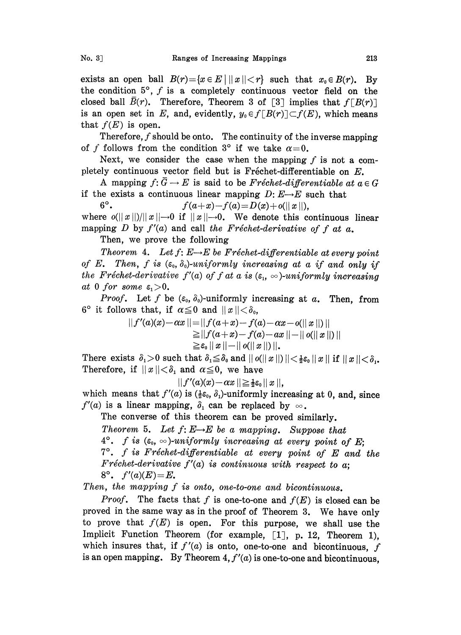exists an open ball  $B(r) = \{x \in E \mid ||x|| < r\}$  such that  $x_0 \in B(r)$ . By the condition  $5^\circ$ , f is a completely continuous vector field on the closed ball  $B(r)$ . Therefore, Theorem 3 of [3] implies that  $f[B(r)]$ is an open set in E, and, evidently,  $y_0 \in f[B(r)] \subset f(E)$ , which means that  $f(E)$  is open.

Therefore,  $f$  should be onto. The continuity of the inverse mapping of f follows from the condition 3° if we take  $\alpha=0$ .

Next, we consider the case when the mapping  $f$  is not a completely continuous vector field but is Fréchet-differentiable on  $E$ .

A mapping  $f: \overline{G} \to E$  is said to be Fréchet-differentiable at  $a \in G$ if the exists a continuous linear mapping  $D: E \rightarrow E$  such that<br>6°.  $f(a+x)-f(a)=D(x)+o(||x||)$ .

 $f(a+x)-f(a)=D(x)+o(||x||)$ ,

where  $o(||x||)/||x|| \to 0$  if  $||x|| \to 0$ . We denote this continuous linear mapping D by  $f'(a)$  and call the Fréchet-derivative of f at a.

Then, we prove the following

Theorem 4. Let  $f: E \rightarrow E$  be Fréchet-differentiable at every point of E. Then, f is  $(\varepsilon_0, \delta_0)$ -uniformly increasing at a if and only if the Fréchet-derivative  $f'(a)$  of f at a is  $(\varepsilon_1, \infty)$ -uniformly increasing at 0 for some  $\varepsilon_1 > 0$ .

*Proof.* Let f be  $(\varepsilon_0, \delta_0)$ -uniformly increasing at a. Then, from  $6^{\circ}$  it follows that, if  $\alpha \leq 0$  and  $||x|| < \delta_{0}$ ,

$$
|| f'(a)(x) - \alpha x || = || f(a+x) - f(a) - \alpha x - o(||x||) ||
$$
  
\n
$$
\geq || f(a+x) - f(a) - \alpha x || - || o(||x||) ||
$$
  
\n
$$
\geq \varepsilon_0 ||x|| - || o(||x||) ||.
$$

There exists  $\delta_1>0$  such that  $\delta_1\leq \delta_0$  and  $||o(||x||)|| < \frac{1}{2}\varepsilon_0 ||x||$  if  $||x|| < \delta_1$ . Therefore, if  $||x|| < \delta_1$  and  $\alpha \leq 0$ , we have

 $|| f'(a)(x) - \alpha x || \geq \frac{1}{2} \varepsilon_0 || x ||$ 

which means that  $f'(a)$  is  $(\frac{1}{2}\epsilon_0, \delta_1)$ -uniformly increasing at 0, and, since  $f'(a)$  is a linear mapping,  $\delta_1$  can be replaced by  $\infty$ .

The converse of this theorem can be proved similarly.

Theorem 5. Let  $f: E \rightarrow E$  be a mapping. Suppose that  $4^\circ$ . f is  $(\varepsilon_0, \infty)$ -uniformly increasing at every point of E;  $7^\circ$ . f is Fréchet-differentiable at every point of E and the Fréchet-derivative  $f'(a)$  is continuous with respect to a;  $8^{\circ}$ .  $f'(a)(E)=E$ .

Then, the mapping  $f$  is onto, one-to-one and bicontinuous.

Proof. The facts that f is one-to-one and  $f(E)$  is closed can be proved in the same way as in the proof of Theorem 3. We have only to prove that  $f(E)$  is open. For this purpose, we shall use the Implicit Function Theorem (for example,  $[1]$ , p. 12, Theorem 1). which insures that, if  $f'(a)$  is onto, one-to-one and bicontinuous, f is an open mapping. By Theorem 4,  $f'(a)$  is one-to-one and bicontinuous,